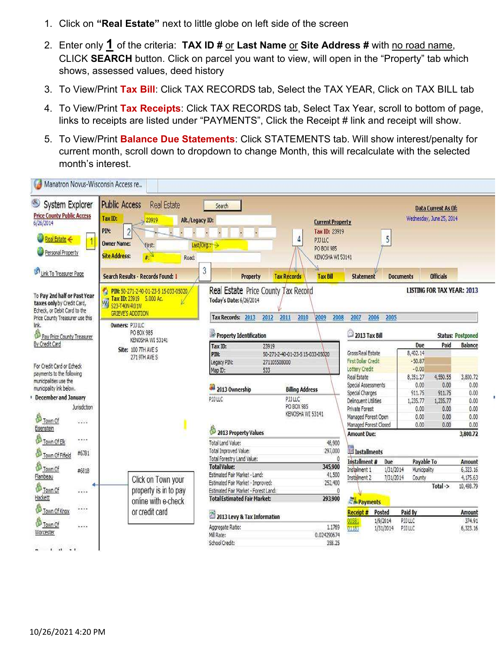- 1. Click on "Real Estate" next to little globe on left side of the screen
- 2. Enter only  $1$  of the criteria: TAX ID # or Last Name or Site Address # with no road name, CLICK SEARCH button. Click on parcel you want to view, will open in the "Property" tab which shows, assessed values, deed history
- 3. To View/Print Tax Bill: Click TAX RECORDS tab, Select the TAX YEAR, Click on TAX BILL tab
- 4. To View/Print Tax Receipts: Click TAX RECORDS tab, Select Tax Year, scroll to bottom of page, links to receipts are listed under "PAYMENTS", Click the Receipt # link and receipt will show.
- 5. To View/Print Balance Due Statements: Click STATEMENTS tab. Will show interest/penalty for current month, scroll down to dropdown to change Month, this will recalculate with the selected month's interest.